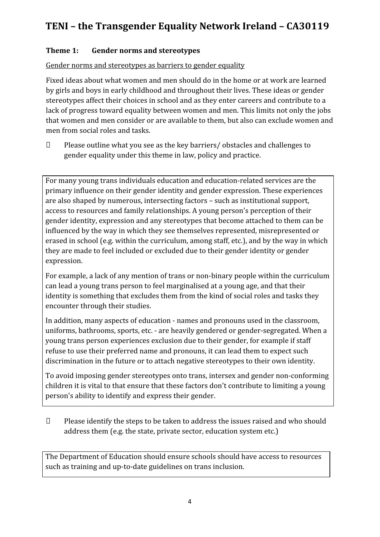# **TENI – the Transgender Equality Network Ireland – CA30119**

## **Theme 1: Gender norms and stereotypes**

Gender norms and stereotypes as barriers to gender equality

Fixed ideas about what women and men should do in the home or at work are learned by girls and boys in early childhood and throughout their lives. These ideas or gender stereotypes affect their choices in school and as they enter careers and contribute to a lack of progress toward equality between women and men. This limits not only the jobs that women and men consider or are available to them, but also can exclude women and men from social roles and tasks.

 $\Box$  Please outline what you see as the key barriers/ obstacles and challenges to gender equality under this theme in law, policy and practice.

For many young trans individuals education and education-related services are the primary influence on their gender identity and gender expression. These experiences are also shaped by numerous, intersecting factors – such as institutional support, access to resources and family relationships. A young person's perception of their gender identity, expression and any stereotypes that become attached to them can be influenced by the way in which they see themselves represented, misrepresented or erased in school (e.g. within the curriculum, among staff, etc.), and by the way in which they are made to feel included or excluded due to their gender identity or gender expression.

For example, a lack of any mention of trans or non-binary people within the curriculum can lead a young trans person to feel marginalised at a young age, and that their identity is something that excludes them from the kind of social roles and tasks they encounter through their studies.

In addition, many aspects of education - names and pronouns used in the classroom, uniforms, bathrooms, sports, etc. - are heavily gendered or gender-segregated. When a young trans person experiences exclusion due to their gender, for example if staff refuse to use their preferred name and pronouns, it can lead them to expect such discrimination in the future or to attach negative stereotypes to their own identity.

To avoid imposing gender stereotypes onto trans, intersex and gender non-conforming children it is vital to that ensure that these factors don't contribute to limiting a young person's ability to identify and express their gender.

 Please identify the steps to be taken to address the issues raised and who should address them (e.g. the state, private sector, education system etc.)

The Department of Education should ensure schools should have access to resources such as training and up-to-date guidelines on trans inclusion.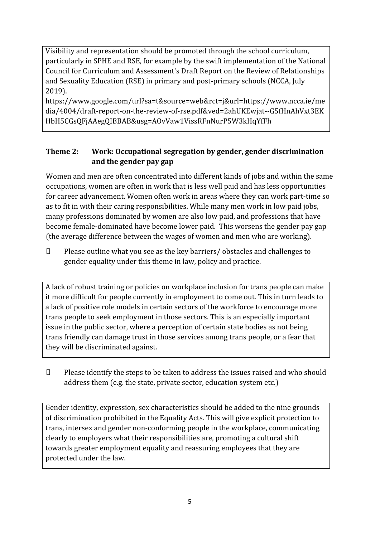Visibility and representation should be promoted through the school curriculum, particularly in SPHE and RSE, for example by the swift implementation of the National Council for Curriculum and Assessment's Draft Report on the Review of Relationships and Sexuality Education (RSE) in primary and post-primary schools (NCCA, July 2019).

https://www.google.com/url?sa=t&source=web&rct=j&url=https://www.ncca.ie/me dia/4004/draft-report-on-the-review-of-rse.pdf&ved=2ahUKEwjat--G5fHnAhVxt3EK HbH5CGsQFjAAegQIBBAB&usg=AOvVaw1VissRFnNurP5W3kHqYfFh

# **Theme 2: Work: Occupational segregation by gender, gender discrimination and the gender pay gap**

Women and men are often concentrated into different kinds of jobs and within the same occupations, women are often in work that is less well paid and has less opportunities for career advancement. Women often work in areas where they can work part-time so as to fit in with their caring responsibilities. While many men work in low paid jobs, many professions dominated by women are also low paid, and professions that have become female-dominated have become lower paid. This worsens the gender pay gap (the average difference between the wages of women and men who are working).

 $\Box$  Please outline what you see as the key barriers/ obstacles and challenges to gender equality under this theme in law, policy and practice.

A lack of robust training or policies on workplace inclusion for trans people can make it more difficult for people currently in employment to come out. This in turn leads to a lack of positive role models in certain sectors of the workforce to encourage more trans people to seek employment in those sectors. This is an especially important issue in the public sector, where a perception of certain state bodies as not being trans friendly can damage trust in those services among trans people, or a fear that they will be discriminated against.

 $\Box$  Please identify the steps to be taken to address the issues raised and who should address them (e.g. the state, private sector, education system etc.)

Gender identity, expression, sex characteristics should be added to the nine grounds of discrimination prohibited in the Equality Acts. This will give explicit protection to trans, intersex and gender non-conforming people in the workplace, communicating clearly to employers what their responsibilities are, promoting a cultural shift towards greater employment equality and reassuring employees that they are protected under the law.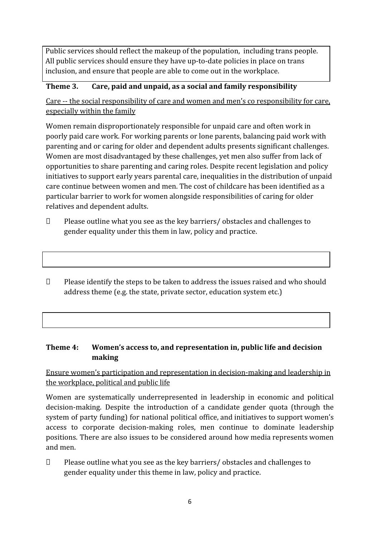Public services should reflect the makeup of the population, including trans people. All public services should ensure they have up-to-date policies in place on trans inclusion, and ensure that people are able to come out in the workplace.

#### **Theme 3. Care, paid and unpaid, as a social and family responsibility**

Care -- the social responsibility of care and women and men's co responsibility for care, especially within the family

Women remain disproportionately responsible for unpaid care and often work in poorly paid care work. For working parents or [lone parents,](https://aran.library.nuigalway.ie/bitstream/handle/10379/6044/Millar_and_Crosse_Activation_Report.pdf?sequence=1&isAllowed=y) balancing paid work with parenting and or caring for older and dependent adults presents significant challenges. Women are [most disadvantaged by these challenges,](https://eige.europa.eu/gender-equality-index/game/IE/W) yet men also suffer from lack of opportunities to share parenting and caring roles. Despite recent legislation and policy initiatives to support early years parental care, [inequalities in the distribution of unpaid](https://www.ihrec.ie/app/uploads/2019/07/Caring-and-Unpaid-Work-in-Ireland_Final.pdf)  [care](https://www.ihrec.ie/app/uploads/2019/07/Caring-and-Unpaid-Work-in-Ireland_Final.pdf) continue between women and men. The cost of childcare has been identified as a particular barrier to work for women alongside responsibilities of caring for older relatives and dependent adults.

- $\Box$  Please outline what you see as the key barriers/ obstacles and challenges to gender equality under this them in law, policy and practice.
- $\Box$  Please identify the steps to be taken to address the issues raised and who should address theme (e.g. the state, private sector, education system etc.)

#### **Theme 4: Women's access to, and representation in, public life and decision making**

## Ensure women's participation and representation in decision-making and leadership in the workplace, political and public life

Women are systematically underrepresented in leadership in [economic](https://eige.europa.eu/gender-equality-index/2019/compare-countries/power/2/bar) and [political](https://eige.europa.eu/gender-equality-index/2019/compare-countries/power/1/bar) [decision-](https://eige.europa.eu/gender-equality-index/2019/compare-countries/power/1/bar)making. Despite the introduction of a candidate gender quota (through the system of party funding) for national political office, and [initiatives](https://betterbalance.ie/) to support women's access to corporate decision-making roles, men continue to dominate leadership positions. There are also issues to be considered around how media represents women and men.

 Please outline what you see as the key barriers/ obstacles and challenges to gender equality under this theme in law, policy and practice.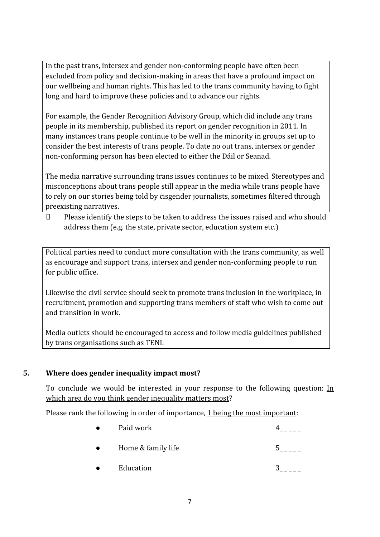In the past trans, intersex and gender non-conforming people have often been excluded from policy and decision-making in areas that have a profound impact on our wellbeing and human rights. This has led to the trans community having to fight long and hard to improve these policies and to advance our rights.

For example, the Gender Recognition Advisory Group, which did include any trans people in its membership, published its report on gender recognition in 2011. In many instances trans people continue to be well in the minority in groups set up to consider the best interests of trans people. To date no out trans, intersex or gender non-conforming person has been elected to either the Dáil or Seanad.

The media narrative surrounding trans issues continues to be mixed. Stereotypes and misconceptions about trans people still appear in the media while trans people have to rely on our stories being told by cisgender journalists, sometimes filtered through preexisting narratives.

 $\Box$  Please identify the steps to be taken to address the issues raised and who should address them (e.g. the state, private sector, education system etc.)

Political parties need to conduct more consultation with the trans community, as well as encourage and support trans, intersex and gender non-conforming people to run for public office.

Likewise the civil service should seek to promote trans inclusion in the workplace, in recruitment, promotion and supporting trans members of staff who wish to come out and transition in work.

Media outlets should be encouraged to access and follow media guidelines published by trans organisations such as TENI.

## **5. Where does gender inequality impact most?**

To conclude we would be interested in your response to the following question:  $In$ which area do you think gender inequality matters most?

Please rank the following in order of importance, 1 being the most important:

|           | Paid work          |  |
|-----------|--------------------|--|
| $\bullet$ | Home & family life |  |
|           | Education          |  |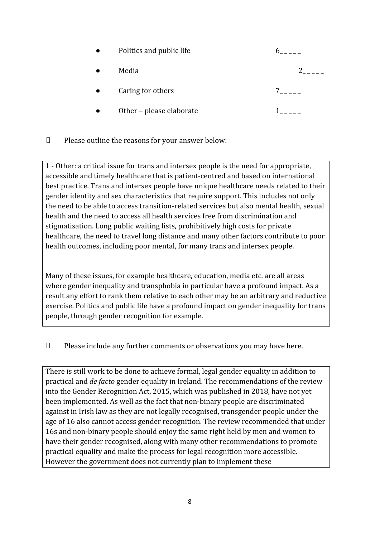| Politics and public life |  |
|--------------------------|--|
| Media                    |  |
| Caring for others        |  |
| Other - please elaborate |  |

 $\square$  Please outline the reasons for your answer below:

1 - Other: a critical issue for trans and intersex people is the need for appropriate, accessible and timely healthcare that is patient-centred and based on international best practice. Trans and intersex people have unique healthcare needs related to their gender identity and sex characteristics that require support. This includes not only the need to be able to access transition-related services but also mental health, sexual health and the need to access all health services free from discrimination and stigmatisation. Long public waiting lists, prohibitively high costs for private healthcare, the need to travel long distance and many other factors contribute to poor health outcomes, including poor mental, for many trans and intersex people.

Many of these issues, for example healthcare, education, media etc. are all areas where gender inequality and transphobia in particular have a profound impact. As a result any effort to rank them relative to each other may be an arbitrary and reductive exercise. Politics and public life have a profound impact on gender inequality for trans people, through gender recognition for example.

## Please include any further comments or observations you may have here.

There is still work to be done to achieve formal, legal gender equality in addition to practical and *de facto* gender equality in Ireland. The recommendations of the review into the Gender Recognition Act, 2015, which was published in 2018, have not yet been implemented. As well as the fact that non-binary people are discriminated against in Irish law as they are not legally recognised, transgender people under the age of 16 also cannot access gender recognition. The review recommended that under 16s and non-binary people should enjoy the same right held by men and women to have their gender recognised, along with many other recommendations to promote practical equality and make the process for legal recognition more accessible. However the government does not currently plan to implement these